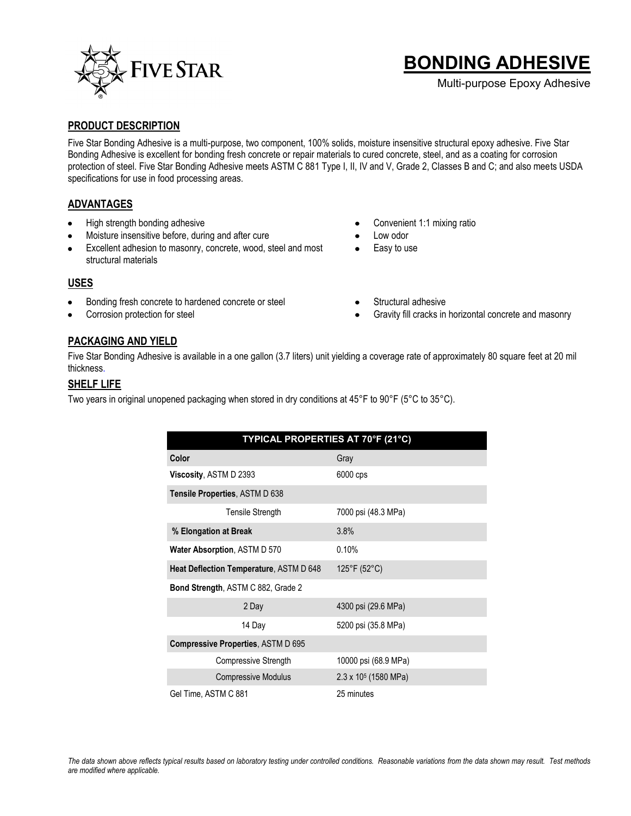

# **BONDING ADHESIVE**

Multi-purpose Epoxy Adhesive

#### **PRODUCT DESCRIPTION**

Five Star Bonding Adhesive is a multi-purpose, two component, 100% solids, moisture insensitive structural epoxy adhesive. Five Star Bonding Adhesive is excellent for bonding fresh concrete or repair materials to cured concrete, steel, and as a coating for corrosion protection of steel. Five Star Bonding Adhesive meets ASTM C 881 Type I, II, IV and V, Grade 2, Classes B and C; and also meets USDA specifications for use in food processing areas.

### **ADVANTAGES**

- High strength bonding adhesive  $\bullet$
- Moisture insensitive before, during and after cure
- Excellent adhesion to masonry, concrete, wood, steel and most structural materials
- Convenient 1:1 mixing ratio
- Low odor
- Easy to use

### **USES**

- Bonding fresh concrete to hardened concrete or steel  $\bullet$
- Corrosion protection for steel
- Structural adhesive
- Gravity fill cracks in horizontal concrete and masonry

### **PACKAGING AND YIELD**

Five Star Bonding Adhesive is available in a one gallon (3.7 liters) unit yielding a coverage rate of approximately 80 square feet at 20 mil thickness.

### **SHELF LIFE**

Two years in original unopened packaging when stored in dry conditions at 45°F to 90°F (5°C to 35°C).

| TYPICAL PROPERTIES AT 70°F (21°C)         |                              |
|-------------------------------------------|------------------------------|
| Color                                     | Gray                         |
| Viscosity, ASTM D 2393                    | 6000 cps                     |
| Tensile Properties, ASTM D 638            |                              |
| Tensile Strength                          | 7000 psi (48.3 MPa)          |
| % Elongation at Break                     | 3.8%                         |
| <b>Water Absorption, ASTM D 570</b>       | 0.10%                        |
| Heat Deflection Temperature, ASTM D 648   | 125°F (52°C)                 |
| <b>Bond Strength, ASTM C 882, Grade 2</b> |                              |
| 2 Day                                     | 4300 psi (29.6 MPa)          |
| 14 Day                                    | 5200 psi (35.8 MPa)          |
| <b>Compressive Properties, ASTM D 695</b> |                              |
| Compressive Strength                      | 10000 psi (68.9 MPa)         |
| <b>Compressive Modulus</b>                | $2.3 \times 10^5$ (1580 MPa) |
| Gel Time, ASTM C 881                      | 25 minutes                   |